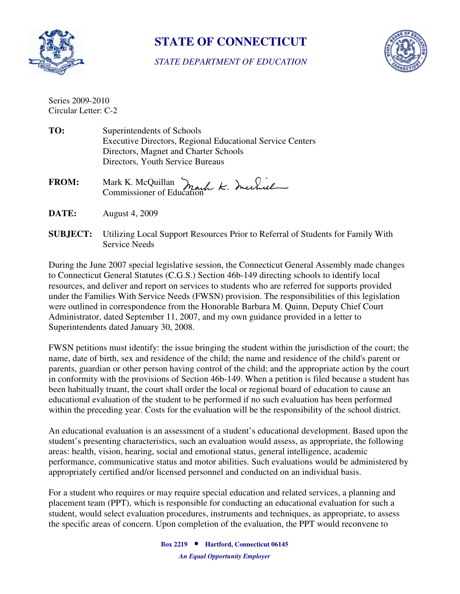

## **STATE OF CONNECTICUT**

*STATE DEPARTMENT OF EDUCATION* 



Series 2009-2010 Circular Letter: C-2

- TO: Directors, Youth Service Bureaus **Superintendents of Schools** Executive Directors, Regional Educational Service Centers Directors, Magnet and Charter Schools
- **FROM:** Mark K. McQuillan Commissioner of Education
- **DATE:** August 4, 2009
- **SUBJECT:** Utilizing Local Support Resources Prior to Referral of Students for Family With Service Needs

 During the June 2007 special legislative session, the Connecticut General Assembly made changes to Connecticut General Statutes (C.G.S.) Section 46b-149 directing schools to identify local resources, and deliver and report on services to students who are referred for supports provided under the Families With Service Needs (FWSN) provision. The responsibilities of this legislation were outlined in correspondence from the Honorable Barbara M. Quinn, Deputy Chief Court Administrator, dated September 11, 2007, and my own guidance provided in a letter to Superintendents dated January 30, 2008.

 parents, guardian or other person having control of the child; and the appropriate action by the court FWSN petitions must identify: the issue bringing the student within the jurisdiction of the court; the name, date of birth, sex and residence of the child; the name and residence of the child's parent or in conformity with the provisions of Section 46b-149. When a petition is filed because a student has been habitually truant, the court shall order the local or regional board of education to cause an educational evaluation of the student to be performed if no such evaluation has been performed within the preceding year. Costs for the evaluation will be the responsibility of the school district.

An educational evaluation is an assessment of a student's educational development. Based upon the student's presenting characteristics, such an evaluation would assess, as appropriate, the following areas: health, vision, hearing, social and emotional status, general intelligence, academic performance, communicative status and motor abilities. Such evaluations would be administered by appropriately certified and/or licensed personnel and conducted on an individual basis.

For a student who requires or may require special education and related services, a planning and placement team (PPT), which is responsible for conducting an educational evaluation for such a student, would select evaluation procedures, instruments and techniques, as appropriate, to assess the specific areas of concern. Upon completion of the evaluation, the PPT would reconvene to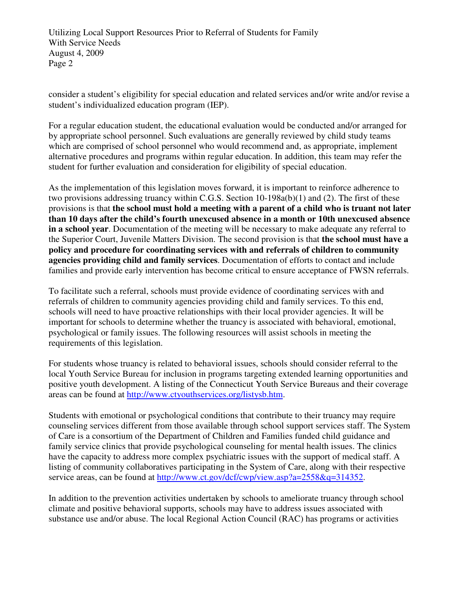Utilizing Local Support Resources Prior to Referral of Students for Family With Service Needs August 4, 2009 Page 2

consider a student's eligibility for special education and related services and/or write and/or revise a student's individualized education program (IEP).

 For a regular education student, the educational evaluation would be conducted and/or arranged for by appropriate school personnel. Such evaluations are generally reviewed by child study teams alternative procedures and programs within regular education. In addition, this team may refer the which are comprised of school personnel who would recommend and, as appropriate, implement student for further evaluation and consideration for eligibility of special education.

 **in a school year**. Documentation of the meeting will be necessary to make adequate any referral to As the implementation of this legislation moves forward, it is important to reinforce adherence to two provisions addressing truancy within C.G.S. Section 10-198a(b)(1) and (2). The first of these provisions is that **the school must hold a meeting with a parent of a child who is truant not later than 10 days after the child's fourth unexcused absence in a month or 10th unexcused absence**  the Superior Court, Juvenile Matters Division. The second provision is that **the school must have a policy and procedure for coordinating services with and referrals of children to community agencies providing child and family services**. Documentation of efforts to contact and include families and provide early intervention has become critical to ensure acceptance of FWSN referrals.

 schools will need to have proactive relationships with their local provider agencies. It will be To facilitate such a referral, schools must provide evidence of coordinating services with and referrals of children to community agencies providing child and family services. To this end, important for schools to determine whether the truancy is associated with behavioral, emotional, psychological or family issues. The following resources will assist schools in meeting the requirements of this legislation.

For students whose truancy is related to behavioral issues, schools should consider referral to the local Youth Service Bureau for inclusion in programs targeting extended learning opportunities and positive youth development. A listing of the Connecticut Youth Service Bureaus and their coverage areas can be found at http://www.ctyouthservices.org/listysb.htm.

Students with emotional or psychological conditions that contribute to their truancy may require counseling services different from those available through school support services staff. The System of Care is a consortium of the Department of Children and Families funded child guidance and family service clinics that provide psychological counseling for mental health issues. The clinics have the capacity to address more complex psychiatric issues with the support of medical staff. A listing of community collaboratives participating in the System of Care, along with their respective service areas, can be found at http://www.ct.gov/dcf/cwp/view.asp?a=2558&q=314352.

 substance use and/or abuse. The local Regional Action Council (RAC) has programs or activities In addition to the prevention activities undertaken by schools to ameliorate truancy through school climate and positive behavioral supports, schools may have to address issues associated with